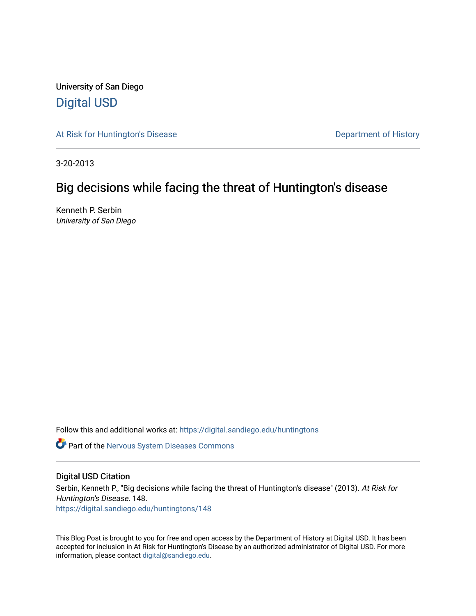University of San Diego [Digital USD](https://digital.sandiego.edu/)

[At Risk for Huntington's Disease](https://digital.sandiego.edu/huntingtons) **Department of History** Department of History

3-20-2013

## Big decisions while facing the threat of Huntington's disease

Kenneth P. Serbin University of San Diego

Follow this and additional works at: [https://digital.sandiego.edu/huntingtons](https://digital.sandiego.edu/huntingtons?utm_source=digital.sandiego.edu%2Fhuntingtons%2F148&utm_medium=PDF&utm_campaign=PDFCoverPages)

Part of the [Nervous System Diseases Commons](http://network.bepress.com/hgg/discipline/928?utm_source=digital.sandiego.edu%2Fhuntingtons%2F148&utm_medium=PDF&utm_campaign=PDFCoverPages)

## Digital USD Citation

Serbin, Kenneth P., "Big decisions while facing the threat of Huntington's disease" (2013). At Risk for Huntington's Disease. 148. [https://digital.sandiego.edu/huntingtons/148](https://digital.sandiego.edu/huntingtons/148?utm_source=digital.sandiego.edu%2Fhuntingtons%2F148&utm_medium=PDF&utm_campaign=PDFCoverPages)

This Blog Post is brought to you for free and open access by the Department of History at Digital USD. It has been accepted for inclusion in At Risk for Huntington's Disease by an authorized administrator of Digital USD. For more information, please contact [digital@sandiego.edu.](mailto:digital@sandiego.edu)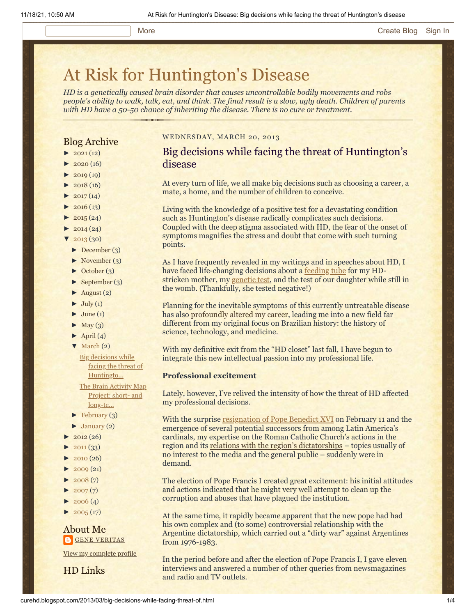#### More **[Create Blog](https://www.blogger.com/home#create) [Sign In](https://www.blogger.com/)**

# [At Risk for Huntington's Disease](http://curehd.blogspot.com/)

*HD is a genetically caused brain disorder that causes uncontrollable bodily movements and robs people's ability to walk, talk, eat, and think. The final result is a slow, ugly death. Children of parents with HD have a 50-50 chance of inheriting the disease. There is no cure or treatment.*

## Blog Archive

- $\blacktriangleright$  [2021](http://curehd.blogspot.com/2021/)(12)
- $2020(16)$  $2020(16)$
- $\blacktriangleright$  [2019](http://curehd.blogspot.com/2019/) (19)
- $\blacktriangleright$  [2018](http://curehd.blogspot.com/2018/) (16)
- $2017(14)$  $2017(14)$
- $2016(13)$  $2016(13)$
- $\blacktriangleright$  [2015](http://curehd.blogspot.com/2015/) (24)
- $\blacktriangleright$  [2014](http://curehd.blogspot.com/2014/) (24)
- $'$  [2013](http://curehd.blogspot.com/2013/) (30)
- [►](javascript:void(0)) [December](http://curehd.blogspot.com/2013/12/) (3)
- [►](javascript:void(0)) [November](http://curehd.blogspot.com/2013/11/) (3)
- [►](javascript:void(0)) [October](http://curehd.blogspot.com/2013/10/) (3)
- [►](javascript:void(0)) [September](http://curehd.blogspot.com/2013/09/) (3)
- $\blacktriangleright$  [August](http://curehd.blogspot.com/2013/08/) (2)
- $\blacktriangleright$  [July](http://curehd.blogspot.com/2013/07/) (1)
- $\blacktriangleright$  [June](http://curehd.blogspot.com/2013/06/) (1)
- $\blacktriangleright$  [May](http://curehd.blogspot.com/2013/05/) (3)
- $\blacktriangleright$  [April](http://curehd.blogspot.com/2013/04/) (4)
- [▼](javascript:void(0)) [March](http://curehd.blogspot.com/2013/03/) (2)
	- Big decisions while facing the threat of [Huntingto...](http://curehd.blogspot.com/2013/03/big-decisions-while-facing-threat-of.html)

The Brain Activity Map Project: short- and [long-te...](http://curehd.blogspot.com/2013/03/the-brain-activity-map-project-short.html)

- [►](javascript:void(0)) [February](http://curehd.blogspot.com/2013/02/) (3)
- $\blacktriangleright$  [January](http://curehd.blogspot.com/2013/01/) (2)
- $2012(26)$  $2012(26)$
- $2011(33)$  $2011(33)$
- $\blacktriangleright$  [2010](http://curehd.blogspot.com/2010/) (26)
- $-2009(21)$  $-2009(21)$  $-2009(21)$
- $\blacktriangleright$  [2008](http://curehd.blogspot.com/2008/) $(7)$
- $\blacktriangleright$  [2007](http://curehd.blogspot.com/2007/) $(7)$
- $\blacktriangleright$  [2006](http://curehd.blogspot.com/2006/) (4)
- $\blacktriangleright$  [2005](http://curehd.blogspot.com/2005/) (17)

About Me **GENE [VERITAS](https://www.blogger.com/profile/10911736205741688185)** 

View my [complete](https://www.blogger.com/profile/10911736205741688185) profile

HD Links

## WEDNESDAY, MARCH 20, 2013

## Big decisions while facing the threat of Huntington's disease

At every turn of life, we all make big decisions such as choosing a career, a mate, a home, and the number of children to conceive.

Living with the knowledge of a positive test for a devastating condition such as Huntington's disease radically complicates such decisions. Coupled with the deep stigma associated with HD, the fear of the onset of symptoms magnifies the stress and doubt that come with such turning points.

As I have frequently revealed in my writings and in speeches about HD, I have faced life-changing decisions about a <u>[feeding tube](http://curehd.blogspot.com/2006/01/should-mom-get-feeding-tube.html)</u> for my HDstricken mother, my [genetic test](http://curehd.blogspot.com/2006/11/handling-news.html), and the test of our daughter while still in the womb. (Thankfully, she tested negative!)

Planning for the inevitable symptoms of this currently untreatable disease has also [profoundly altered my career,](http://chronicle.com/article/Racing-Against-the-Genetic/135542/) leading me into a new field far different from my original focus on Brazilian history: the history of science, technology, and medicine.

With my definitive exit from the "HD closet" last fall, I have begun to integrate this new intellectual passion into my professional life.

## **Professional excitement**

Lately, however, I've relived the intensity of how the threat of HD affected my professional decisions.

With the surprise [resignation of Pope Benedict XVI](http://curehd.blogspot.com/2013/02/pope-benedict-xvis-resignation-witness.html) on February 11 and the emergence of several potential successors from among Latin America's cardinals, my expertise on the Roman Catholic Church's actions in the region and its [relations with the region's dictatorships](http://digital.library.pitt.edu/cgi-bin/t/text/text-idx?idno=31735055592368;view=toc;c=pittpress) – topics usually of no interest to the media and the general public – suddenly were in demand.

The election of Pope Francis I created great excitement: his initial attitudes and actions indicated that he might very well attempt to clean up the corruption and abuses that have plagued the institution.

At the same time, it rapidly became apparent that the new pope had had his own complex and (to some) controversial relationship with the Argentine dictatorship, which carried out a "dirty war" against Argentines from 1976-1983.

In the period before and after the election of Pope Francis I, I gave eleven interviews and answered a number of other queries from newsmagazines and radio and TV outlets.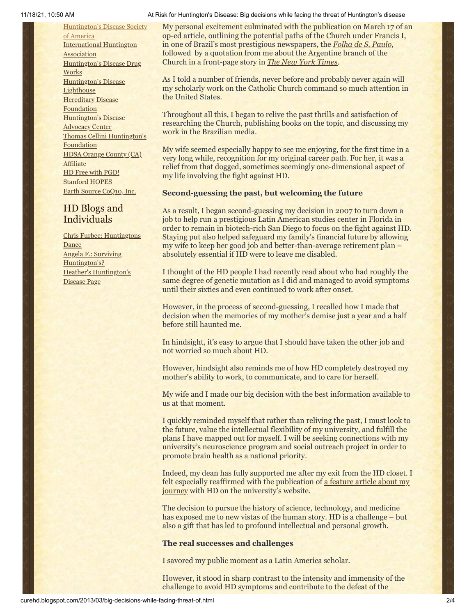[Huntington's](http://www.hdsa.org/) Disease Society of America [International](http://www.huntington-assoc.com/) Huntington **Association** [Huntington's](http://hddrugworks.org/) Disease Drug **Works** [Huntington's](http://www.hdlighthouse.org/) Disease **Lighthouse [Hereditary](http://www.hdfoundation.org/) Disease** Foundation [Huntington's](http://www.hdac.org/) Disease Advocacy Center Thomas [Cellini Huntington's](http://www.ourtchfoundation.org/) **Foundation** HDSA Orange County (CA) **[Affiliate](http://www.hdsaoc.org/)** HD Free with [PGD!](http://www.hdfreewithpgd.com/) [Stanford](http://www.stanford.edu/group/hopes/) HOPES Earth Source [CoQ10,](http://www.escoq10.com/) Inc.

## HD Blogs and Individuals

Chris Furbee: [Huntingtons](http://www.huntingtonsdance.org/) **Dance** Angela F.: Surviving [Huntington's?](http://survivinghuntingtons.blogspot.com/) Heather's [Huntington's](http://heatherdugdale.angelfire.com/) Disease Page

11/18/21, 10:50 AM At Risk for Huntington's Disease: Big decisions while facing the threat of Huntington's disease

My personal excitement culminated with the publication on March 17 of an op-ed article, outlining the potential paths of the Church under Francis I, in one of Brazil's most prestigious newspapers, the *[Folha de S. Paulo](http://www1.folha.uol.com.br/fsp/ilustrissima/98908-a-historica-trindade.shtml)*, followed by a quotation from me about the Argentine branch of the Church in a front-page story in *[The New York Times](http://www.nytimes.com/2013/03/18/world/americas/francis-begins-reign-as-pope-amid-echoes-of-argentinas-dirty-war.html?emc=eta1&_r=0)*.

As I told a number of friends, never before and probably never again will my scholarly work on the Catholic Church command so much attention in the United States.

Throughout all this, I began to relive the past thrills and satisfaction of researching the Church, publishing books on the topic, and discussing my work in the Brazilian media.

My wife seemed especially happy to see me enjoying, for the first time in a very long while, recognition for my original career path. For her, it was a relief from that dogged, sometimes seemingly one-dimensional aspect of my life involving the fight against HD.

## **Second-guessing the past, but welcoming the future**

As a result, I began second-guessing my decision in 2007 to turn down a job to help run a prestigious Latin American studies center in Florida in order to remain in biotech-rich San Diego to focus on the fight against HD. Staying put also helped safeguard my family's financial future by allowing my wife to keep her good job and better-than-average retirement plan – absolutely essential if HD were to leave me disabled.

I thought of the HD people I had recently read about who had roughly the same degree of genetic mutation as I did and managed to avoid symptoms until their sixties and even continued to work after onset.

However, in the process of second-guessing, I recalled how I made that decision when the memories of my mother's demise just a year and a half before still haunted me.

In hindsight, it's easy to argue that I should have taken the other job and not worried so much about HD.

However, hindsight also reminds me of how HD completely destroyed my mother's ability to work, to communicate, and to care for herself.

My wife and I made our big decision with the best information available to us at that moment.

I quickly reminded myself that rather than reliving the past, I must look to the future, value the intellectual flexibility of my university, and fulfill the plans I have mapped out for myself. I will be seeking connections with my university's neuroscience program and social outreach project in order to promote brain health as a national priority.

Indeed, my dean has fully supported me after my exit from the HD closet. I [felt especially reaffirmed with the publication of a feature article about my](http://www.sandiego.edu/cas/news_events/feature_stories/kenneth_serbin.php) journey with HD on the university's website.

The decision to pursue the history of science, technology, and medicine has exposed me to new vistas of the human story. HD is a challenge – but also a gift that has led to profound intellectual and personal growth.

## **The real successes and challenges**

I savored my public moment as a Latin America scholar.

However, it stood in sharp contrast to the intensity and immensity of the challenge to avoid HD symptoms and contribute to the defeat of the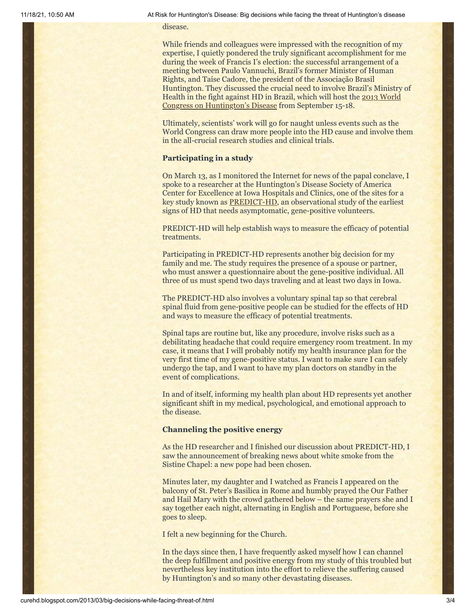#### disease.

While friends and colleagues were impressed with the recognition of my expertise, I quietly pondered the truly significant accomplishment for me during the week of Francis I's election: the successful arrangement of a meeting between Paulo Vannuchi, Brazil's former Minister of Human Rights, and Taíse Cadore, the president of the Associação Brasil Huntington. They discussed the crucial need to involve Brazil's Ministry of [Health in the fight against HD in Brazil, which will host the 2013 World](http://www.wchd2013.com/) Congress on Huntington's Disease from September 15-18.

Ultimately, scientists' work will go for naught unless events such as the World Congress can draw more people into the HD cause and involve them in the all-crucial research studies and clinical trials.

## **Participating in a study**

On March 13, as I monitored the Internet for news of the papal conclave, I spoke to a researcher at the Huntington's Disease Society of America Center for Excellence at Iowa Hospitals and Clinics, one of the sites for a key study known as [PREDICT-HD,](https://www.predict-hd.net/) an observational study of the earliest signs of HD that needs asymptomatic, gene-positive volunteers.

PREDICT-HD will help establish ways to measure the efficacy of potential treatments.

Participating in PREDICT-HD represents another big decision for my family and me. The study requires the presence of a spouse or partner, who must answer a questionnaire about the gene-positive individual. All three of us must spend two days traveling and at least two days in Iowa.

The PREDICT-HD also involves a voluntary spinal tap so that cerebral spinal fluid from gene-positive people can be studied for the effects of HD and ways to measure the efficacy of potential treatments.

Spinal taps are routine but, like any procedure, involve risks such as a debilitating headache that could require emergency room treatment. In my case, it means that I will probably notify my health insurance plan for the very first time of my gene-positive status. I want to make sure I can safely undergo the tap, and I want to have my plan doctors on standby in the event of complications.

In and of itself, informing my health plan about HD represents yet another significant shift in my medical, psychological, and emotional approach to the disease.

## **Channeling the positive energy**

As the HD researcher and I finished our discussion about PREDICT-HD, I saw the announcement of breaking news about white smoke from the Sistine Chapel: a new pope had been chosen.

Minutes later, my daughter and I watched as Francis I appeared on the balcony of St. Peter's Basilica in Rome and humbly prayed the Our Father and Hail Mary with the crowd gathered below – the same prayers she and I say together each night, alternating in English and Portuguese, before she goes to sleep.

I felt a new beginning for the Church.

In the days since then, I have frequently asked myself how I can channel the deep fulfillment and positive energy from my study of this troubled but nevertheless key institution into the effort to relieve the suffering caused by Huntington's and so many other devastating diseases.